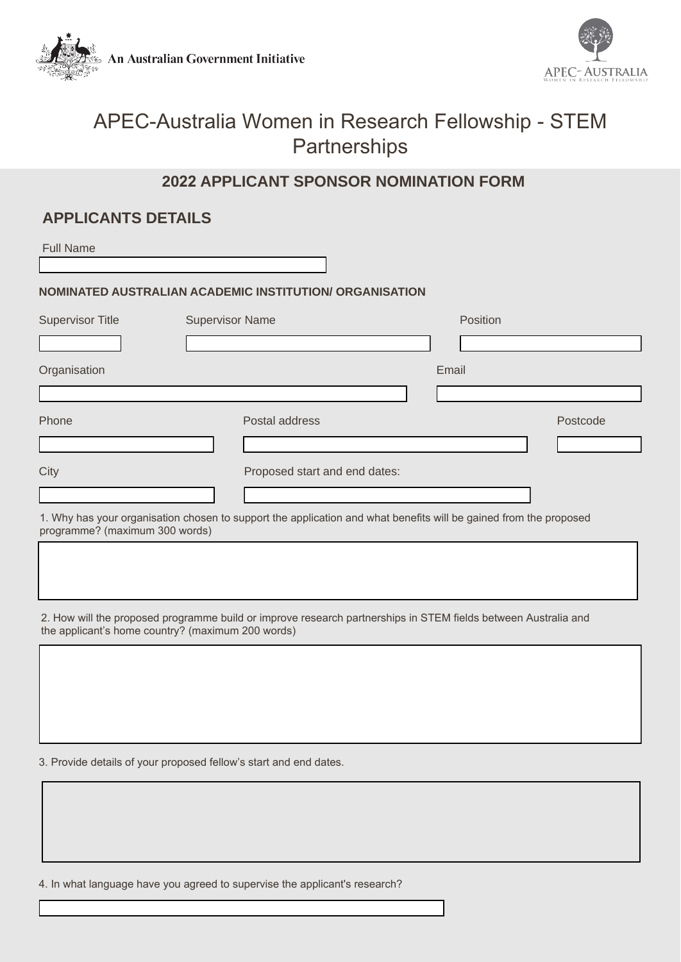**An Australian Government Initiative** 



# APEC-Australia Women in Research Fellowship - STEM **Partnerships**

## **2022 APPLICANT SPONSOR NOMINATION FORM**

### **APPLICANTS DETAILS**

| <b>Full Name</b>               |                                                                                                                   |          |          |
|--------------------------------|-------------------------------------------------------------------------------------------------------------------|----------|----------|
|                                | NOMINATED AUSTRALIAN ACADEMIC INSTITUTION/ ORGANISATION                                                           |          |          |
| <b>Supervisor Title</b>        | <b>Supervisor Name</b>                                                                                            | Position |          |
|                                |                                                                                                                   |          |          |
| Organisation                   |                                                                                                                   | Email    |          |
|                                |                                                                                                                   |          |          |
| Phone                          | Postal address                                                                                                    |          | Postcode |
|                                |                                                                                                                   |          |          |
| City                           | Proposed start and end dates:                                                                                     |          |          |
|                                |                                                                                                                   |          |          |
| programme? (maximum 300 words) | 1. Why has your organisation chosen to support the application and what benefits will be gained from the proposed |          |          |
|                                |                                                                                                                   |          |          |
|                                |                                                                                                                   |          |          |
|                                |                                                                                                                   |          |          |

2. How will the proposed programme build or improve research partnerships in STEM fields between Australia and the applicant's home country? (maximum 200 words)

3. Provide details of your proposed fellow's start and end dates.

4. In what language have you agreed to supervise the applicant's research?